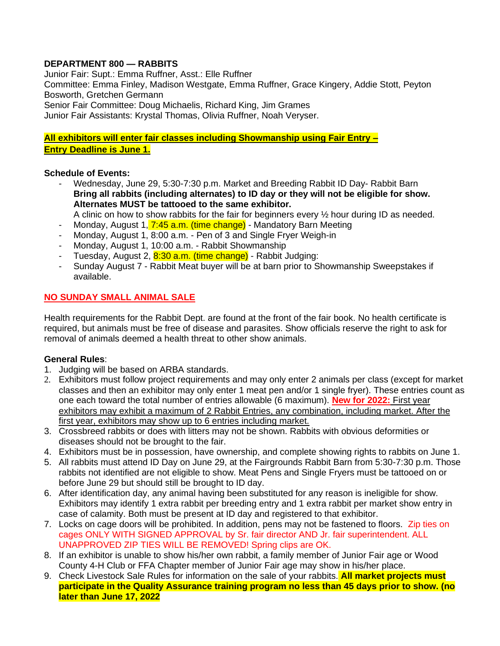## **DEPARTMENT 800 — RABBITS**

Junior Fair: Supt.: Emma Ruffner, Asst.: Elle Ruffner Committee: Emma Finley, Madison Westgate, Emma Ruffner, Grace Kingery, Addie Stott, Peyton Bosworth, Gretchen Germann Senior Fair Committee: Doug Michaelis, Richard King, Jim Grames Junior Fair Assistants: Krystal Thomas, Olivia Ruffner, Noah Veryser.

**All exhibitors will enter fair classes including Showmanship using Fair Entry – Entry Deadline is June 1.**

#### **Schedule of Events:**

- Wednesday, June 29, 5:30-7:30 p.m. Market and Breeding Rabbit ID Day- Rabbit Barn **Bring all rabbits (including alternates) to ID day or they will not be eligible for show. Alternates MUST be tattooed to the same exhibitor.**
- A clinic on how to show rabbits for the fair for beginners every ½ hour during ID as needed.
- Monday, August 1, 7:45 a.m. (time change) Mandatory Barn Meeting
- Monday, August 1, 8:00 a.m. Pen of 3 and Single Fryer Weigh-in
- Monday, August 1, 10:00 a.m. Rabbit Showmanship
- Tuesday, August 2, 8:30 a.m. (time change) Rabbit Judging:
- Sunday August 7 Rabbit Meat buyer will be at barn prior to Showmanship Sweepstakes if available.

### **NO SUNDAY SMALL ANIMAL SALE**

Health requirements for the Rabbit Dept. are found at the front of the fair book. No health certificate is required, but animals must be free of disease and parasites. Show officials reserve the right to ask for removal of animals deemed a health threat to other show animals.

### **General Rules**:

- 1. Judging will be based on ARBA standards.
- 2. Exhibitors must follow project requirements and may only enter 2 animals per class (except for market classes and then an exhibitor may only enter 1 meat pen and/or 1 single fryer). These entries count as one each toward the total number of entries allowable (6 maximum). **New for 2022:** First year exhibitors may exhibit a maximum of 2 Rabbit Entries, any combination, including market. After the first year, exhibitors may show up to 6 entries including market.
- 3. Crossbreed rabbits or does with litters may not be shown. Rabbits with obvious deformities or diseases should not be brought to the fair.
- 4. Exhibitors must be in possession, have ownership, and complete showing rights to rabbits on June 1.
- 5. All rabbits must attend ID Day on June 29, at the Fairgrounds Rabbit Barn from 5:30-7:30 p.m. Those rabbits not identified are not eligible to show. Meat Pens and Single Fryers must be tattooed on or before June 29 but should still be brought to ID day.
- 6. After identification day, any animal having been substituted for any reason is ineligible for show. Exhibitors may identify 1 extra rabbit per breeding entry and 1 extra rabbit per market show entry in case of calamity. Both must be present at ID day and registered to that exhibitor.
- 7. Locks on cage doors will be prohibited. In addition, pens may not be fastened to floors. Zip ties on cages ONLY WITH SIGNED APPROVAL by Sr. fair director AND Jr. fair superintendent. ALL UNAPPROVED ZIP TIES WILL BE REMOVED! Spring clips are OK.
- 8. If an exhibitor is unable to show his/her own rabbit, a family member of Junior Fair age or Wood County 4-H Club or FFA Chapter member of Junior Fair age may show in his/her place.
- 9. Check Livestock Sale Rules for information on the sale of your rabbits. **All market projects must participate in the Quality Assurance training program no less than 45 days prior to show. (no later than June 17, 2022**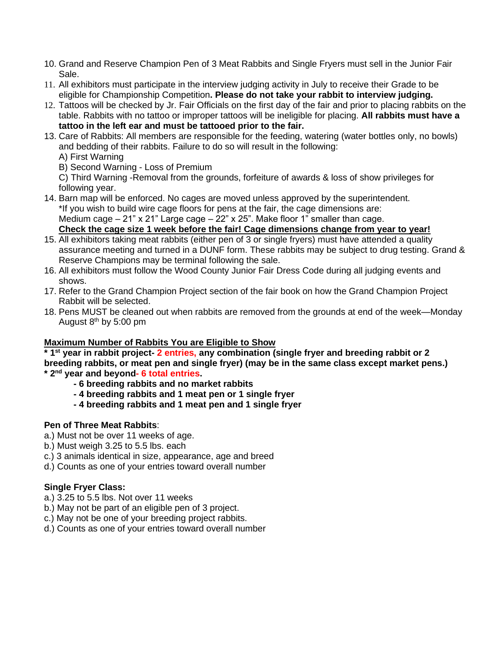- 10. Grand and Reserve Champion Pen of 3 Meat Rabbits and Single Fryers must sell in the Junior Fair Sale.
- 11. All exhibitors must participate in the interview judging activity in July to receive their Grade to be eligible for Championship Competition**. Please do not take your rabbit to interview judging.**
- 12. Tattoos will be checked by Jr. Fair Officials on the first day of the fair and prior to placing rabbits on the table. Rabbits with no tattoo or improper tattoos will be ineligible for placing. **All rabbits must have a tattoo in the left ear and must be tattooed prior to the fair.**
- 13. Care of Rabbits: All members are responsible for the feeding, watering (water bottles only, no bowls) and bedding of their rabbits. Failure to do so will result in the following:
	- A) First Warning
	- B) Second Warning Loss of Premium

C) Third Warning -Removal from the grounds, forfeiture of awards & loss of show privileges for following year.

- 14. Barn map will be enforced. No cages are moved unless approved by the superintendent. \*If you wish to build wire cage floors for pens at the fair, the cage dimensions are: Medium cage  $-21$ " x 21" Large cage  $-22$ " x 25". Make floor 1" smaller than cage. **Check the cage size 1 week before the fair! Cage dimensions change from year to year!**
- 15. All exhibitors taking meat rabbits (either pen of 3 or single fryers) must have attended a quality assurance meeting and turned in a DUNF form. These rabbits may be subject to drug testing. Grand & Reserve Champions may be terminal following the sale.
- 16. All exhibitors must follow the Wood County Junior Fair Dress Code during all judging events and shows.
- 17. Refer to the Grand Champion Project section of the fair book on how the Grand Champion Project Rabbit will be selected.
- 18. Pens MUST be cleaned out when rabbits are removed from the grounds at end of the week—Monday August  $8<sup>th</sup>$  by 5:00 pm

# **Maximum Number of Rabbits You are Eligible to Show**

**\* 1st year in rabbit project- 2 entries, any combination (single fryer and breeding rabbit or 2 breeding rabbits, or meat pen and single fryer) (may be in the same class except market pens.) \* 2nd year and beyond- 6 total entries.**

- **- 6 breeding rabbits and no market rabbits**
- **- 4 breeding rabbits and 1 meat pen or 1 single fryer**
- **- 4 breeding rabbits and 1 meat pen and 1 single fryer**

# **Pen of Three Meat Rabbits**:

- a.) Must not be over 11 weeks of age.
- b.) Must weigh 3.25 to 5.5 lbs. each
- c.) 3 animals identical in size, appearance, age and breed
- d.) Counts as one of your entries toward overall number

# **Single Fryer Class:**

- a.) 3.25 to 5.5 lbs. Not over 11 weeks
- b.) May not be part of an eligible pen of 3 project.
- c.) May not be one of your breeding project rabbits.
- d.) Counts as one of your entries toward overall number